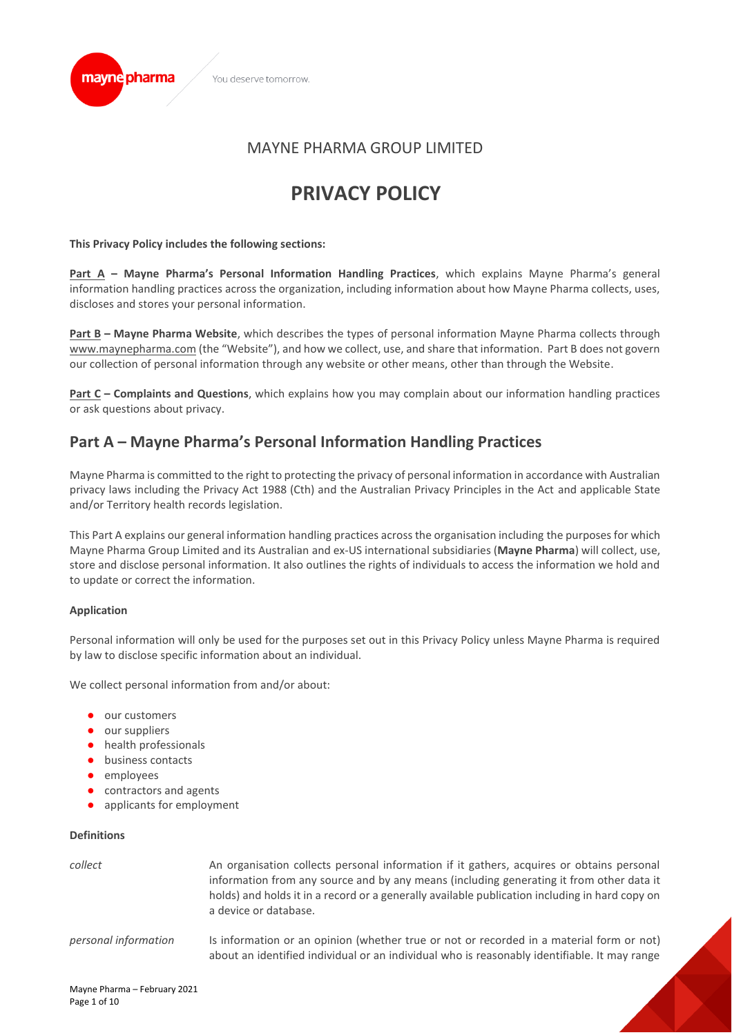

# **PRIVACY POLICY**

# **This Privacy Policy includes the following sections:**

mayne pharma

**Part A – Mayne Pharma's Personal Information Handling Practices**, which explains Mayne Pharma's general information handling practices across the organization, including information about how Mayne Pharma collects, uses, discloses and stores your personal information.

**Part B – Mayne Pharma Website**, which describes the types of personal information Mayne Pharma collects through [www.maynepharma.com](http://www.maynepharma.com/) (the "Website"), and how we collect, use, and share that information. Part B does not govern our collection of personal information through any website or other means, other than through the Website.

**Part C – Complaints and Questions**, which explains how you may complain about our information handling practices or ask questions about privacy.

# **Part A – Mayne Pharma's Personal Information Handling Practices**

Mayne Pharma is committed to the right to protecting the privacy of personal information in accordance with Australian privacy laws including the Privacy Act 1988 (Cth) and the Australian Privacy Principles in the Act and applicable State and/or Territory health records legislation.

This Part A explains our general information handling practices across the organisation including the purposes for which Mayne Pharma Group Limited and its Australian and ex-US international subsidiaries (**Mayne Pharma**) will collect, use, store and disclose personal information. It also outlines the rights of individuals to access the information we hold and to update or correct the information.

# **Application**

Personal information will only be used for the purposes set out in this Privacy Policy unless Mayne Pharma is required by law to disclose specific information about an individual.

We collect personal information from and/or about:

- our customers
- our suppliers
- health professionals
- business contacts
- employees
- contractors and agents
- applicants for employment

# **Definitions**

| collect              | An organisation collects personal information if it gathers, acquires or obtains personal<br>information from any source and by any means (including generating it from other data it<br>holds) and holds it in a record or a generally available publication including in hard copy on<br>a device or database. |
|----------------------|------------------------------------------------------------------------------------------------------------------------------------------------------------------------------------------------------------------------------------------------------------------------------------------------------------------|
| personal information | Is information or an opinion (whether true or not or recorded in a material form or not)<br>about an identified individual or an individual who is reasonably identifiable. It may range                                                                                                                         |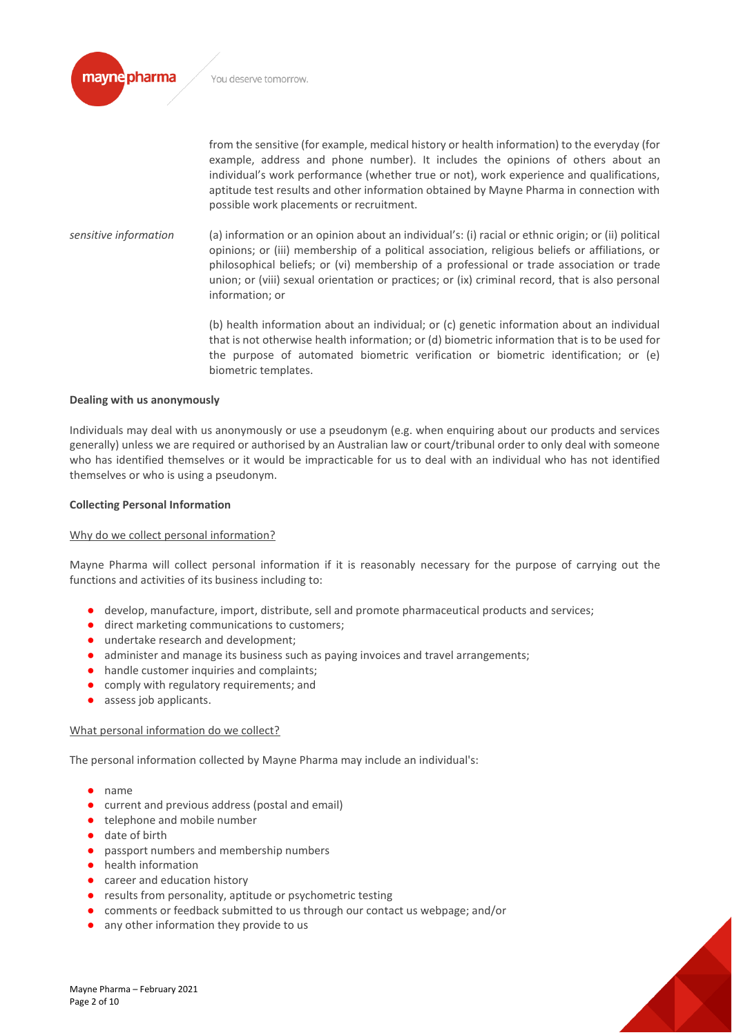

from the sensitive (for example, medical history or health information) to the everyday (for example, address and phone number). It includes the opinions of others about an individual's work performance (whether true or not), work experience and qualifications, aptitude test results and other information obtained by Mayne Pharma in connection with possible work placements or recruitment.

*sensitive information* (a) information or an opinion about an individual's: (i) racial or ethnic origin; or (ii) political opinions; or (iii) membership of a political association, religious beliefs or affiliations, or philosophical beliefs; or (vi) membership of a professional or trade association or trade union; or (viii) sexual orientation or practices; or (ix) criminal record, that is also personal information; or

> (b) health information about an individual; or (c) genetic information about an individual that is not otherwise health information; or (d) biometric information that is to be used for the purpose of automated biometric verification or biometric identification; or (e) biometric templates.

#### **Dealing with us anonymously**

Individuals may deal with us anonymously or use a pseudonym (e.g. when enquiring about our products and services generally) unless we are required or authorised by an Australian law or court/tribunal order to only deal with someone who has identified themselves or it would be impracticable for us to deal with an individual who has not identified themselves or who is using a pseudonym.

#### **Collecting Personal Information**

#### Why do we collect personal information?

Mayne Pharma will collect personal information if it is reasonably necessary for the purpose of carrying out the functions and activities of its business including to:

- develop, manufacture, import, distribute, sell and promote pharmaceutical products and services;
- direct marketing communications to customers;
- undertake research and development;
- administer and manage its business such as paying invoices and travel arrangements;
- handle customer inquiries and complaints;
- comply with regulatory requirements; and
- assess job applicants.

#### What personal information do we collect?

The personal information collected by Mayne Pharma may include an individual's:

- name
- current and previous address (postal and email)
- telephone and mobile number
- date of birth
- passport numbers and membership numbers
- health information
- career and education history
- results from personality, aptitude or psychometric testing
- comments or feedback submitted to us through our contact us webpage; and/or
- any other information they provide to us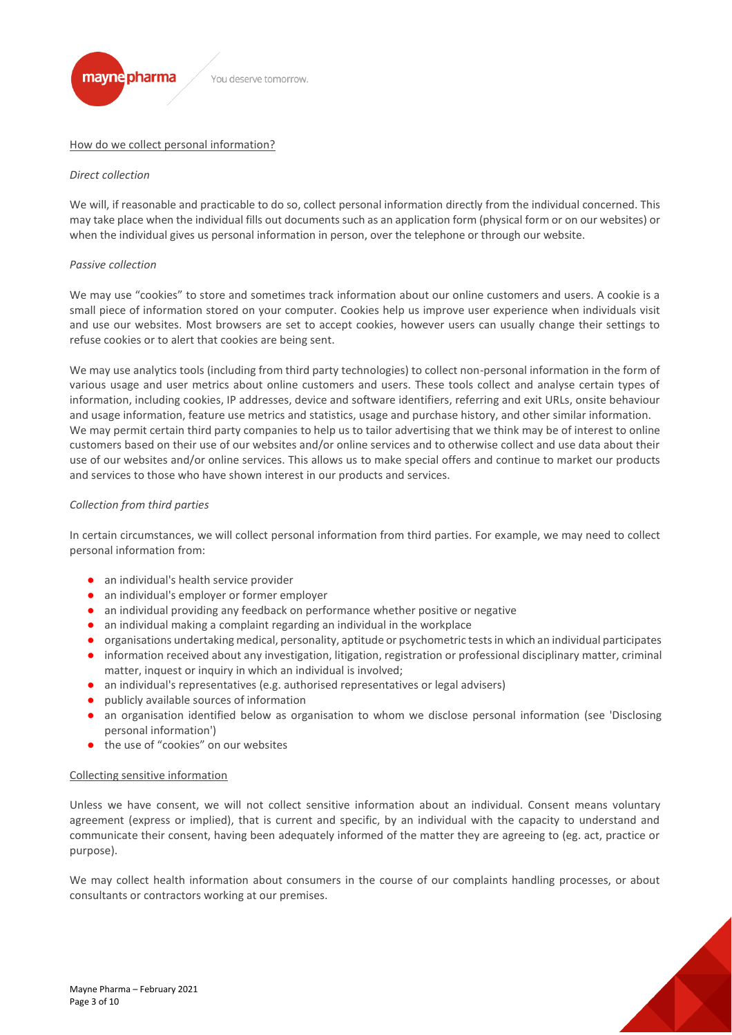

# How do we collect personal information?

#### *Direct collection*

We will, if reasonable and practicable to do so, collect personal information directly from the individual concerned. This may take place when the individual fills out documents such as an application form (physical form or on our websites) or when the individual gives us personal information in person, over the telephone or through our website.

#### *Passive collection*

We may use "cookies" to store and sometimes track information about our online customers and users. A cookie is a small piece of information stored on your computer. Cookies help us improve user experience when individuals visit and use our websites. Most browsers are set to accept cookies, however users can usually change their settings to refuse cookies or to alert that cookies are being sent.

We may use analytics tools (including from third party technologies) to collect non-personal information in the form of various usage and user metrics about online customers and users. These tools collect and analyse certain types of information, including cookies, IP addresses, device and software identifiers, referring and exit URLs, onsite behaviour and usage information, feature use metrics and statistics, usage and purchase history, and other similar information. We may permit certain third party companies to help us to tailor advertising that we think may be of interest to online customers based on their use of our websites and/or online services and to otherwise collect and use data about their use of our websites and/or online services. This allows us to make special offers and continue to market our products and services to those who have shown interest in our products and services.

# *Collection from third parties*

In certain circumstances, we will collect personal information from third parties. For example, we may need to collect personal information from:

- an individual's health service provider
- an individual's employer or former employer
- an individual providing any feedback on performance whether positive or negative
- an individual making a complaint regarding an individual in the workplace
- organisations undertaking medical, personality, aptitude or psychometric tests in which an individual participates
- information received about any investigation, litigation, registration or professional disciplinary matter, criminal matter, inquest or inquiry in which an individual is involved;
- an individual's representatives (e.g. authorised representatives or legal advisers)
- publicly available sources of information
- an organisation identified below as organisation to whom we disclose personal information (see 'Disclosing personal information')
- the use of "cookies" on our websites

#### Collecting sensitive information

Unless we have consent, we will not collect sensitive information about an individual. Consent means voluntary agreement (express or implied), that is current and specific, by an individual with the capacity to understand and communicate their consent, having been adequately informed of the matter they are agreeing to (eg. act, practice or purpose).

We may collect health information about consumers in the course of our complaints handling processes, or about consultants or contractors working at our premises.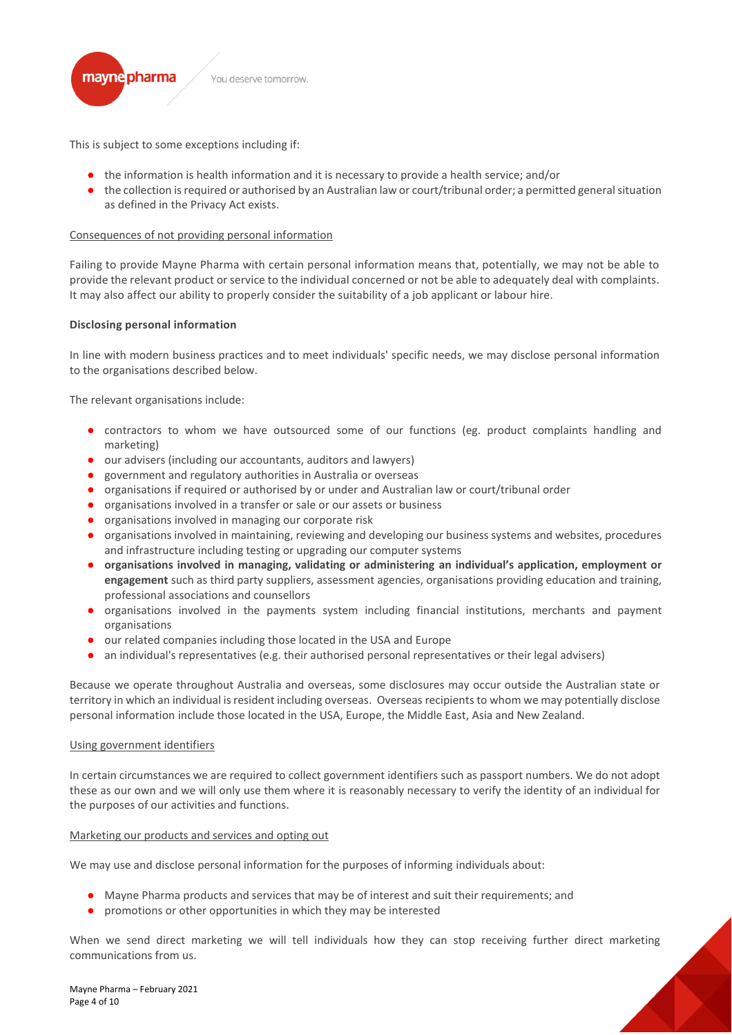

This is subject to some exceptions including if:

- the information is health information and it is necessary to provide a health service; and/or
- the collection is required or authorised by an Australian law or court/tribunal order; a permitted general situation as defined in the Privacy Act exists.

# Consequences of not providing personal information

Failing to provide Mayne Pharma with certain personal information means that, potentially, we may not be able to provide the relevant product or service to the individual concerned or not be able to adequately deal with complaints. It may also affect our ability to properly consider the suitability of a job applicant or labour hire.

#### **Disclosing personal information**

In line with modern business practices and to meet individuals' specific needs, we may disclose personal information to the organisations described below.

The relevant organisations include:

- contractors to whom we have outsourced some of our functions (eg. product complaints handling and marketing)
- our advisers (including our accountants, auditors and lawyers)
- government and regulatory authorities in Australia or overseas
- organisations if required or authorised by or under and Australian law or court/tribunal order
- organisations involved in a transfer or sale or our assets or business
- organisations involved in managing our corporate risk
- organisations involved in maintaining, reviewing and developing our business systems and websites, procedures and infrastructure including testing or upgrading our computer systems
- **organisations involved in managing, validating or administering an individual's application, employment or engagement** such as third party suppliers, assessment agencies, organisations providing education and training, professional associations and counsellors
- organisations involved in the payments system including financial institutions, merchants and payment organisations
- our related companies including those located in the USA and Europe
- an individual's representatives (e.g. their authorised personal representatives or their legal advisers)

Because we operate throughout Australia and overseas, some disclosures may occur outside the Australian state or territory in which an individual is resident including overseas. Overseas recipients to whom we may potentially disclose personal information include those located in the USA, Europe, the Middle East, Asia and New Zealand.

#### Using government identifiers

In certain circumstances we are required to collect government identifiers such as passport numbers. We do not adopt these as our own and we will only use them where it is reasonably necessary to verify the identity of an individual for the purposes of our activities and functions.

#### Marketing our products and services and opting out

We may use and disclose personal information for the purposes of informing individuals about:

- Mayne Pharma products and services that may be of interest and suit their requirements; and
- promotions or other opportunities in which they may be interested

When we send direct marketing we will tell individuals how they can stop receiving further direct marketing communications from us.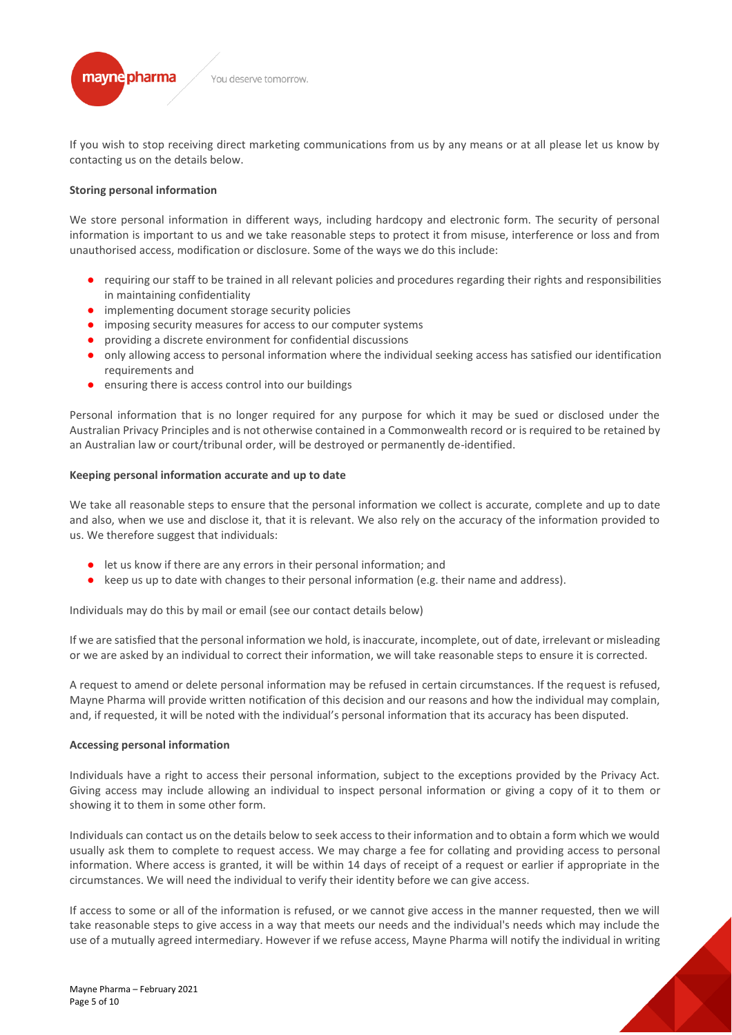

If you wish to stop receiving direct marketing communications from us by any means or at all please let us know by contacting us on the details below.

### **Storing personal information**

We store personal information in different ways, including hardcopy and electronic form. The security of personal information is important to us and we take reasonable steps to protect it from misuse, interference or loss and from unauthorised access, modification or disclosure. Some of the ways we do this include:

- requiring our staff to be trained in all relevant policies and procedures regarding their rights and responsibilities in maintaining confidentiality
- implementing document storage security policies
- imposing security measures for access to our computer systems
- providing a discrete environment for confidential discussions
- only allowing access to personal information where the individual seeking access has satisfied our identification requirements and
- ensuring there is access control into our buildings

Personal information that is no longer required for any purpose for which it may be sued or disclosed under the Australian Privacy Principles and is not otherwise contained in a Commonwealth record or is required to be retained by an Australian law or court/tribunal order, will be destroyed or permanently de-identified.

#### **Keeping personal information accurate and up to date**

We take all reasonable steps to ensure that the personal information we collect is accurate, complete and up to date and also, when we use and disclose it, that it is relevant. We also rely on the accuracy of the information provided to us. We therefore suggest that individuals:

- let us know if there are any errors in their personal information; and
- keep us up to date with changes to their personal information (e.g. their name and address).

Individuals may do this by mail or email (see our contact details below)

If we are satisfied that the personal information we hold, is inaccurate, incomplete, out of date, irrelevant or misleading or we are asked by an individual to correct their information, we will take reasonable steps to ensure it is corrected.

A request to amend or delete personal information may be refused in certain circumstances. If the request is refused, Mayne Pharma will provide written notification of this decision and our reasons and how the individual may complain, and, if requested, it will be noted with the individual's personal information that its accuracy has been disputed.

#### **Accessing personal information**

Individuals have a right to access their personal information, subject to the exceptions provided by the Privacy Act. Giving access may include allowing an individual to inspect personal information or giving a copy of it to them or showing it to them in some other form.

Individuals can contact us on the details below to seek access to their information and to obtain a form which we would usually ask them to complete to request access. We may charge a fee for collating and providing access to personal information. Where access is granted, it will be within 14 days of receipt of a request or earlier if appropriate in the circumstances. We will need the individual to verify their identity before we can give access.

If access to some or all of the information is refused, or we cannot give access in the manner requested, then we will take reasonable steps to give access in a way that meets our needs and the individual's needs which may include the use of a mutually agreed intermediary. However if we refuse access, Mayne Pharma will notify the individual in writing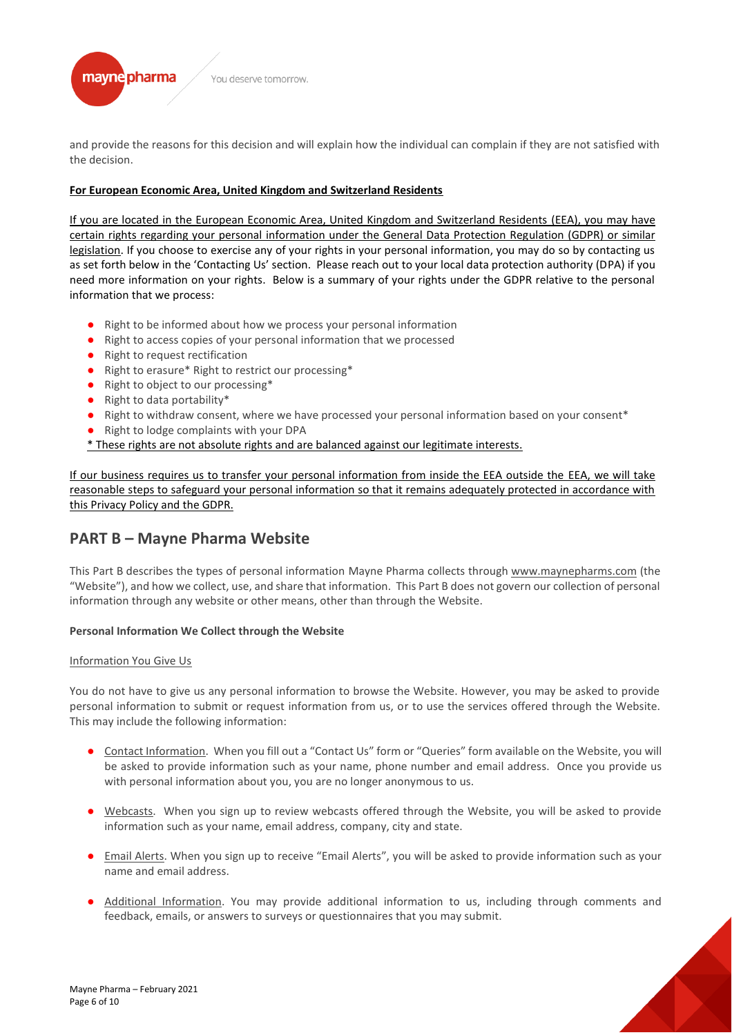

and provide the reasons for this decision and will explain how the individual can complain if they are not satisfied with the decision.

# **For European Economic Area, United Kingdom and Switzerland Residents**

If you are located in the European Economic Area, United Kingdom and Switzerland Residents (EEA), you may have certain rights regarding your personal information under the General Data Protection Regulation (GDPR) or similar legislation. If you choose to exercise any of your rights in your personal information, you may do so by contacting us as set forth below in the 'Contacting Us' section. Please reach out to your local data protection authority (DPA) if you need more information on your rights. Below is a summary of your rights under the GDPR relative to the personal information that we process:

- Right to be informed about how we process your personal information
- Right to access copies of your personal information that we processed
- Right to request rectification
- Right to erasure\* Right to restrict our processing\*
- Right to object to our processing\*
- Right to data portability\*
- Right to withdraw consent, where we have processed your personal information based on your consent\*
- Right to lodge complaints with your DPA
- \* These rights are not absolute rights and are balanced against our legitimate interests.

If our business requires us to transfer your personal information from inside the EEA outside the EEA, we will take reasonable steps to safeguard your personal information so that it remains adequately protected in accordance with this Privacy Policy and the GDPR.

# **PART B – Mayne Pharma Website**

This Part B describes the types of personal information Mayne Pharma collects throug[h www.maynepharms.com](http://www.maynepharms.com/) (the "Website"), and how we collect, use, and share that information. This Part B does not govern our collection of personal information through any website or other means, other than through the Website.

# **Personal Information We Collect through the Website**

# Information You Give Us

You do not have to give us any personal information to browse the Website. However, you may be asked to provide personal information to submit or request information from us, or to use the services offered through the Website. This may include the following information:

- Contact Information. When you fill out a "Contact Us" form or "Queries" form available on the Website, you will be asked to provide information such as your name, phone number and email address. Once you provide us with personal information about you, you are no longer anonymous to us.
- Webcasts. When you sign up to review webcasts offered through the Website, you will be asked to provide information such as your name, email address, company, city and state.
- Email Alerts. When you sign up to receive "Email Alerts", you will be asked to provide information such as your name and email address.
- Additional Information. You may provide additional information to us, including through comments and feedback, emails, or answers to surveys or questionnaires that you may submit.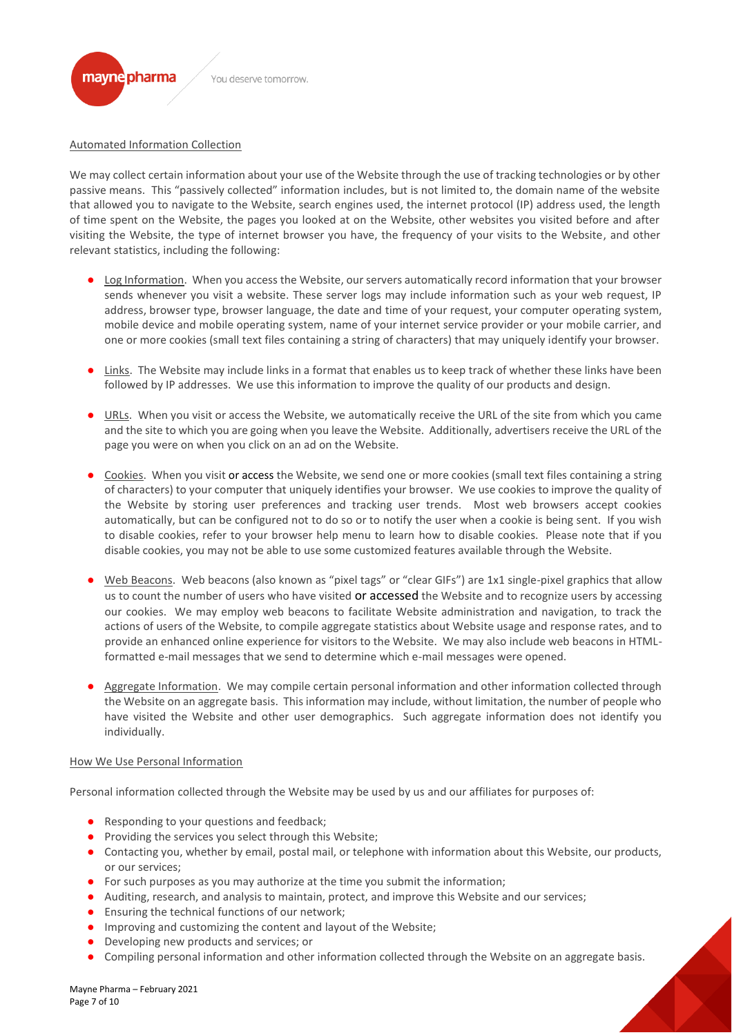

Automated Information Collection

We may collect certain information about your use of the Website through the use of tracking technologies or by other passive means. This "passively collected" information includes, but is not limited to, the domain name of the website that allowed you to navigate to the Website, search engines used, the internet protocol (IP) address used, the length of time spent on the Website, the pages you looked at on the Website, other websites you visited before and after visiting the Website, the type of internet browser you have, the frequency of your visits to the Website, and other relevant statistics, including the following:

- Log Information. When you access the Website, our servers automatically record information that your browser sends whenever you visit a website. These server logs may include information such as your web request, IP address, browser type, browser language, the date and time of your request, your computer operating system, mobile device and mobile operating system, name of your internet service provider or your mobile carrier, and one or more cookies (small text files containing a string of characters) that may uniquely identify your browser.
- Links. The Website may include links in a format that enables us to keep track of whether these links have been followed by IP addresses. We use this information to improve the quality of our products and design.
- URLs. When you visit or access the Website, we automatically receive the URL of the site from which you came and the site to which you are going when you leave the Website. Additionally, advertisers receive the URL of the page you were on when you click on an ad on the Website.
- Cookies. When you visit or access the Website, we send one or more cookies (small text files containing a string of characters) to your computer that uniquely identifies your browser. We use cookies to improve the quality of the Website by storing user preferences and tracking user trends. Most web browsers accept cookies automatically, but can be configured not to do so or to notify the user when a cookie is being sent. If you wish to disable cookies, refer to your browser help menu to learn how to disable cookies. Please note that if you disable cookies, you may not be able to use some customized features available through the Website.
- Web Beacons. Web beacons (also known as "pixel tags" or "clear GIFs") are 1x1 single-pixel graphics that allow us to count the number of users who have visited or accessed the Website and to recognize users by accessing our cookies. We may employ web beacons to facilitate Website administration and navigation, to track the actions of users of the Website, to compile aggregate statistics about Website usage and response rates, and to provide an enhanced online experience for visitors to the Website. We may also include web beacons in HTMLformatted e-mail messages that we send to determine which e-mail messages were opened.
- Aggregate Information. We may compile certain personal information and other information collected through the Website on an aggregate basis. This information may include, without limitation, the number of people who have visited the Website and other user demographics. Such aggregate information does not identify you individually.

# How We Use Personal Information

Personal information collected through the Website may be used by us and our affiliates for purposes of:

- Responding to your questions and feedback;
- Providing the services you select through this Website;
- Contacting you, whether by email, postal mail, or telephone with information about this Website, our products, or our services;
- For such purposes as you may authorize at the time you submit the information;
- Auditing, research, and analysis to maintain, protect, and improve this Website and our services;
- Ensuring the technical functions of our network;
- Improving and customizing the content and layout of the Website;
- Developing new products and services; or
- Compiling personal information and other information collected through the Website on an aggregate basis.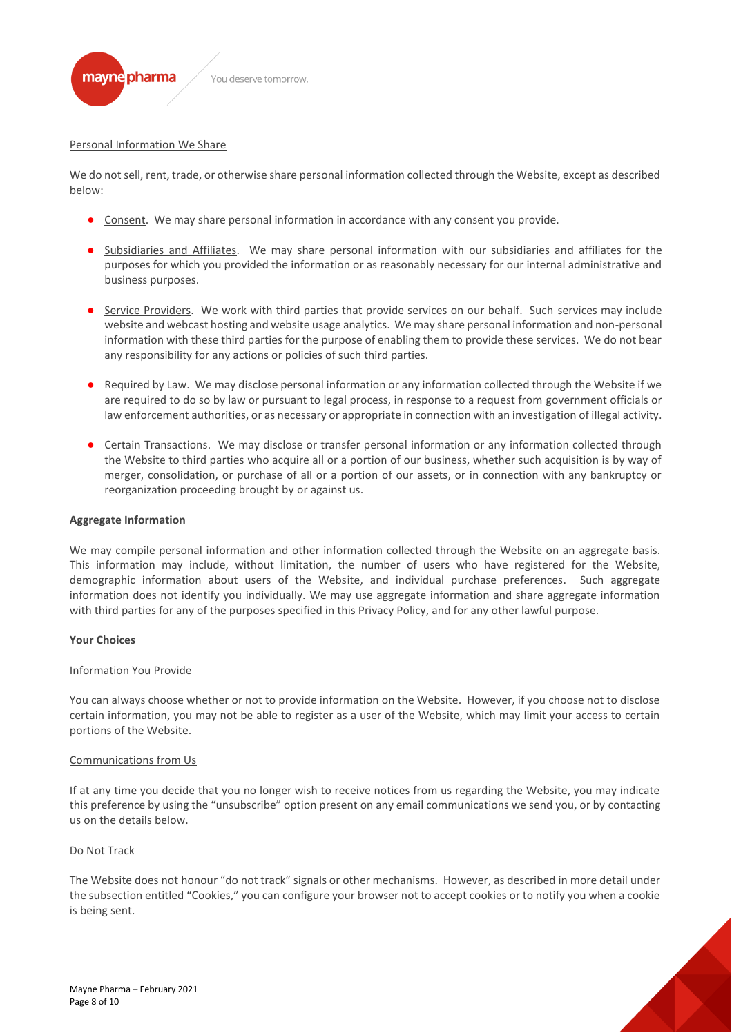

#### Personal Information We Share

We do not sell, rent, trade, or otherwise share personal information collected through the Website, except as described below:

- Consent. We may share personal information in accordance with any consent you provide.
- Subsidiaries and Affiliates. We may share personal information with our subsidiaries and affiliates for the purposes for which you provided the information or as reasonably necessary for our internal administrative and business purposes.
- Service Providers. We work with third parties that provide services on our behalf. Such services may include website and webcast hosting and website usage analytics. We may share personal information and non-personal information with these third parties for the purpose of enabling them to provide these services. We do not bear any responsibility for any actions or policies of such third parties.
- Required by Law. We may disclose personal information or any information collected through the Website if we are required to do so by law or pursuant to legal process, in response to a request from government officials or law enforcement authorities, or as necessary or appropriate in connection with an investigation of illegal activity.
- Certain Transactions. We may disclose or transfer personal information or any information collected through the Website to third parties who acquire all or a portion of our business, whether such acquisition is by way of merger, consolidation, or purchase of all or a portion of our assets, or in connection with any bankruptcy or reorganization proceeding brought by or against us.

#### **Aggregate Information**

We may compile personal information and other information collected through the Website on an aggregate basis. This information may include, without limitation, the number of users who have registered for the Website, demographic information about users of the Website, and individual purchase preferences. Such aggregate information does not identify you individually. We may use aggregate information and share aggregate information with third parties for any of the purposes specified in this Privacy Policy, and for any other lawful purpose.

#### **Your Choices**

#### Information You Provide

You can always choose whether or not to provide information on the Website. However, if you choose not to disclose certain information, you may not be able to register as a user of the Website, which may limit your access to certain portions of the Website.

#### Communications from Us

If at any time you decide that you no longer wish to receive notices from us regarding the Website, you may indicate this preference by using the "unsubscribe" option present on any email communications we send you, or by contacting us on the details below.

#### Do Not Track

The Website does not honour "do not track" signals or other mechanisms. However, as described in more detail under the subsection entitled "Cookies," you can configure your browser not to accept cookies or to notify you when a cookie is being sent.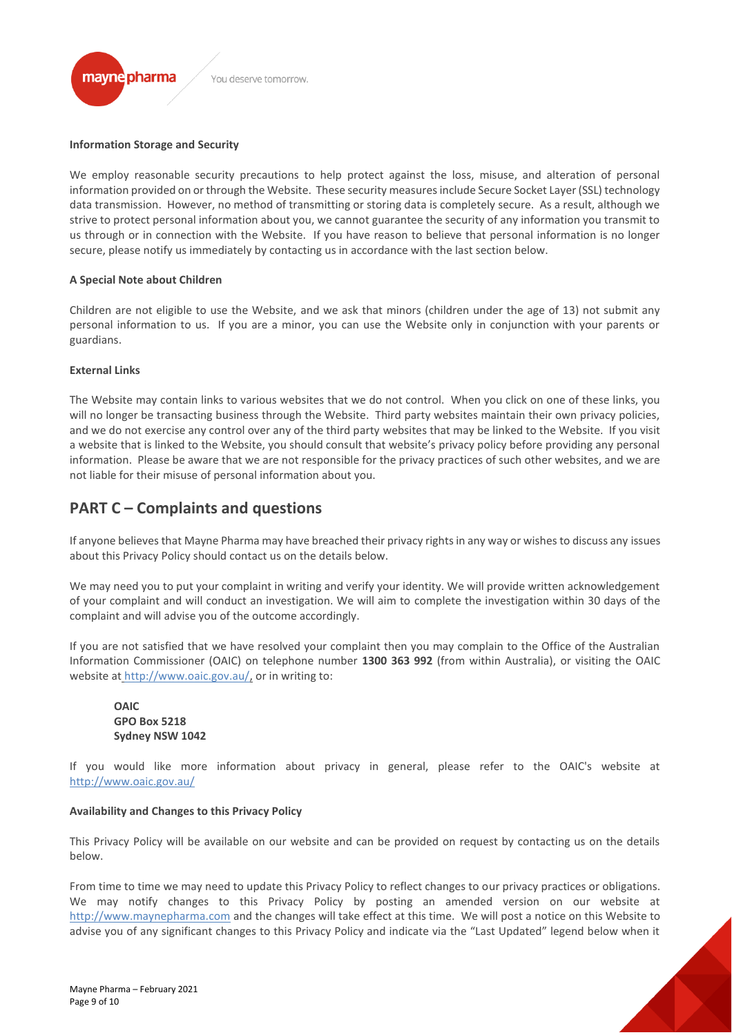

#### **Information Storage and Security**

We employ reasonable security precautions to help protect against the loss, misuse, and alteration of personal information provided on or through the Website. These security measures include Secure Socket Layer (SSL) technology data transmission. However, no method of transmitting or storing data is completely secure. As a result, although we strive to protect personal information about you, we cannot guarantee the security of any information you transmit to us through or in connection with the Website. If you have reason to believe that personal information is no longer secure, please notify us immediately by contacting us in accordance with the last section below.

#### **A Special Note about Children**

Children are not eligible to use the Website, and we ask that minors (children under the age of 13) not submit any personal information to us. If you are a minor, you can use the Website only in conjunction with your parents or guardians.

#### **External Links**

The Website may contain links to various websites that we do not control. When you click on one of these links, you will no longer be transacting business through the Website. Third party websites maintain their own privacy policies, and we do not exercise any control over any of the third party websites that may be linked to the Website. If you visit a website that is linked to the Website, you should consult that website's privacy policy before providing any personal information. Please be aware that we are not responsible for the privacy practices of such other websites, and we are not liable for their misuse of personal information about you.

# **PART C – Complaints and questions**

If anyone believes that Mayne Pharma may have breached their privacy rights in any way or wishes to discuss any issues about this Privacy Policy should contact us on the details below.

We may need you to put your complaint in writing and verify your identity. We will provide written acknowledgement of your complaint and will conduct an investigation. We will aim to complete the investigation within 30 days of the complaint and will advise you of the outcome accordingly.

If you are not satisfied that we have resolved your complaint then you may complain to the Office of the Australian Information Commissioner (OAIC) on telephone number **1300 363 992** (from within Australia), or visiting the OAIC website at <http://www.oaic.gov.au/,> or in writing to:

**OAIC GPO Box 5218 Sydney NSW 1042**

If you would like more information about privacy in general, please refer to the OAIC's website at http://www.oaic.gov.au/

#### **Availability and Changes to this Privacy Policy**

This Privacy Policy will be available on our website and can be provided on request by contacting us on the details below.

From time to time we may need to update this Privacy Policy to reflect changes to our privacy practices or obligations. We may notify changes to this Privacy Policy by posting an amended version on our website at [http://www.maynepharma.com](http://www.maynepharma.com/) and the changes will take effect at this time. We will post a notice on this Website to advise you of any significant changes to this Privacy Policy and indicate via the "Last Updated" legend below when it